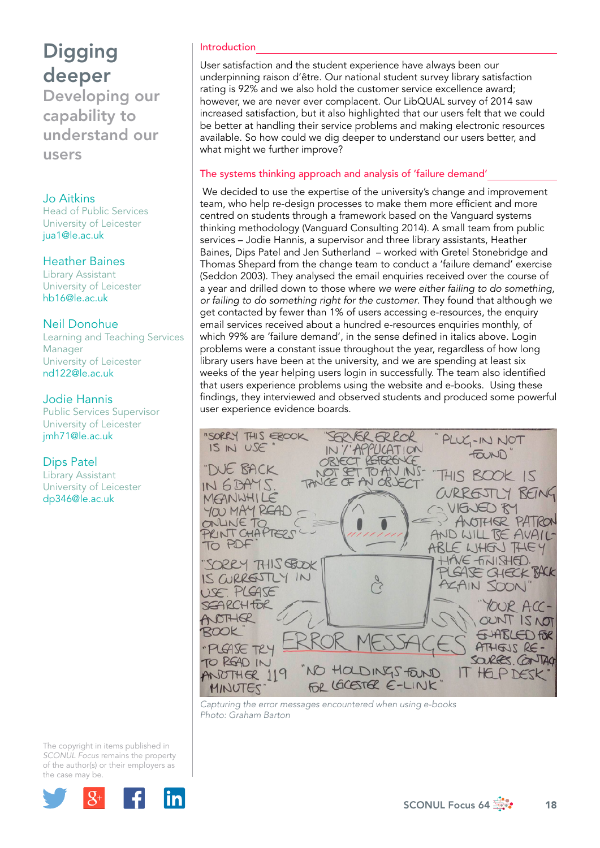Developing our capability to understand our users

## Jo Aitkins

Head of Public Services University of Leicester jua1@le.ac.uk

## Heather Baines

Library Assistant University of Leicester hb16@le.ac.uk

## Neil Donohue

Learning and Teaching Services Manager University of Leicester nd122@le.ac.uk

## Jodie Hannis

Public Services Supervisor University of Leicester jmh71@le.ac.uk

# Dips Patel

Library Assistant University of Leicester dp346@le.ac.uk

## Introduction

User satisfaction and the student experience have always been our underpinning raison d'être. Our national student survey library satisfaction rating is 92% and we also hold the customer service excellence award; however, we are never ever complacent. Our LibQUAL survey of 2014 saw increased satisfaction, but it also highlighted that our users felt that we could be better at handling their service problems and making electronic resources available. So how could we dig deeper to understand our users better, and what might we further improve?

# The systems thinking approach and analysis of 'failure demand'

 We decided to use the expertise of the university's change and improvement team, who help re-design processes to make them more efficient and more centred on students through a framework based on the Vanguard systems thinking methodology (Vanguard Consulting 2014). A small team from public services – Jodie Hannis, a supervisor and three library assistants, Heather Baines, Dips Patel and Jen Sutherland – worked with Gretel Stonebridge and Thomas Shepard from the change team to conduct a 'failure demand' exercise (Seddon 2003). They analysed the email enquiries received over the course of a year and drilled down to those where *we were either failing to do something, or failing to do something right for the customer*. They found that although we get contacted by fewer than 1% of users accessing e-resources, the enquiry email services received about a hundred e-resources enquiries monthly, of which 99% are 'failure demand', in the sense defined in italics above. Login problems were a constant issue throughout the year, regardless of how long library users have been at the university, and we are spending at least six weeks of the year helping users login in successfully. The team also identified that users experience problems using the website and e-books. Using these findings, they interviewed and observed students and produced some powerful user experience evidence boards.



*Capturing the error messages encountered when using e-books Photo: Graham Barton*

The copyright in items published in *SCONUL Focus* remains the property of the author(s) or their employers as the case m[ay be.](http://plus.google.com/share?url=http://www.sconul.ac.uk/page/focus-64)

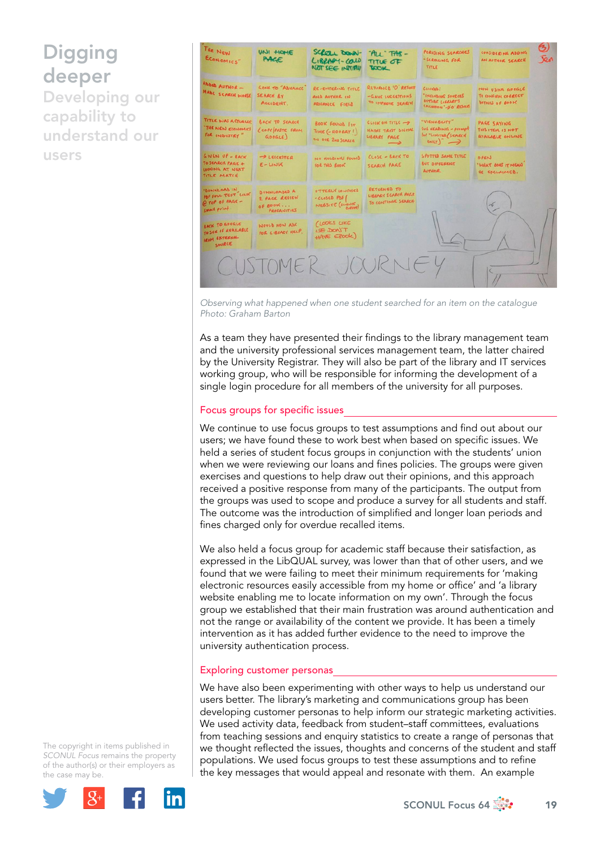Developing our capability to understand our users



*Observing what happened when one student searched for an item on the catalogue Photo: Graham Barton*

As a team they have presented their findings to the library management team and the university professional services management team, the latter chaired by the University Registrar. They will also be part of the library and IT services working group, who will be responsible for informing the development of a single login procedure for all members of the university for all purposes.

#### Focus groups for specific issues

We continue to use focus groups to test assumptions and find out about our users; we have found these to work best when based on specific issues. We held a series of student focus groups in conjunction with the students' union when we were reviewing our loans and fines policies. The groups were given exercises and questions to help draw out their opinions, and this approach received a positive response from many of the participants. The output from the groups was used to scope and produce a survey for all students and staff. The outcome was the introduction of simplified and longer loan periods and fines charged only for overdue recalled items.

We also held a focus group for academic staff because their satisfaction, as expressed in the LibQUAL survey, was lower than that of other users, and we found that we were failing to meet their minimum requirements for 'making electronic resources easily accessible from my home or office' and 'a library website enabling me to locate information on my own'. Through the focus group we established that their main frustration was around authentication and not the range or availability of the content we provide. It has been a timely intervention as it has added further evidence to the need to improve the university authentication process.

#### Exploring customer personas

We have also been experimenting with other ways to help us understand our users better. The library's marketing and communications group has been developing customer personas to help inform our strategic marketing activities. We used activity data, feedback from student–staff committees, evaluations from teaching sessions and enquiry statistics to create a range of personas that we thought reflected the issues, thoughts and concerns of the student and staff populations. We used focus groups to test these assumptions and to refine the key messages that would appeal and resonate with them. An example

The copyright in items published in *SCONUL Focus* remains the property of the author(s) or their employers as the case m[ay be.](http://plus.google.com/share?url=http://www.sconul.ac.uk/page/focus-64)

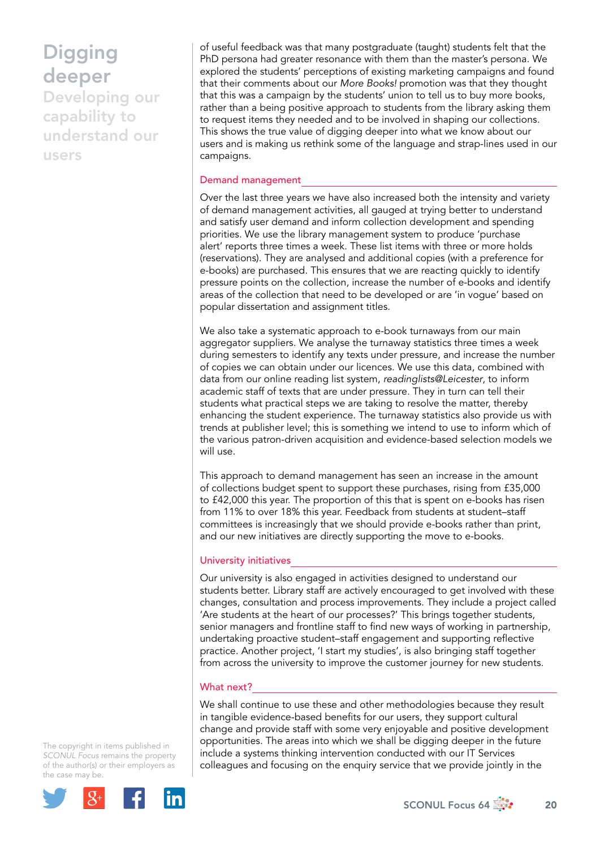Developing our capability to understand our users

of useful feedback was that many postgraduate (taught) students felt that the PhD persona had greater resonance with them than the master's persona. We explored the students' perceptions of existing marketing campaigns and found that their comments about our *More Books!* promotion was that they thought that this was a campaign by the students' union to tell us to buy more books, rather than a being positive approach to students from the library asking them to request items they needed and to be involved in shaping our collections. This shows the true value of digging deeper into what we know about our users and is making us rethink some of the language and strap-lines used in our campaigns.

#### Demand management

Over the last three years we have also increased both the intensity and variety of demand management activities, all gauged at trying better to understand and satisfy user demand and inform collection development and spending priorities. We use the library management system to produce 'purchase alert' reports three times a week. These list items with three or more holds (reservations). They are analysed and additional copies (with a preference for e-books) are purchased. This ensures that we are reacting quickly to identify pressure points on the collection, increase the number of e-books and identify areas of the collection that need to be developed or are 'in vogue' based on popular dissertation and assignment titles.

We also take a systematic approach to e-book turnaways from our main aggregator suppliers. We analyse the turnaway statistics three times a week during semesters to identify any texts under pressure, and increase the number of copies we can obtain under our licences. We use this data, combined with data from our online reading list system, *readinglists@Leicester*, to inform academic staff of texts that are under pressure. They in turn can tell their students what practical steps we are taking to resolve the matter, thereby enhancing the student experience. The turnaway statistics also provide us with trends at publisher level; this is something we intend to use to inform which of the various patron-driven acquisition and evidence-based selection models we will use.

This approach to demand management has seen an increase in the amount of collections budget spent to support these purchases, rising from £35,000 to £42,000 this year. The proportion of this that is spent on e-books has risen from 11% to over 18% this year. Feedback from students at student-staff committees is increasingly that we should provide e-books rather than print, and our new initiatives are directly supporting the move to e-books.

#### University initiatives

Our university is also engaged in activities designed to understand our students better. Library staff are actively encouraged to get involved with these changes, consultation and process improvements. They include a project called 'Are students at the heart of our processes?' This brings together students, senior managers and frontline staff to find new ways of working in partnership, undertaking proactive student–staff engagement and supporting reflective practice. Another project, 'I start my studies', is also bringing staff together from across the university to improve the customer journey for new students.

#### What next?

We shall continue to use these and other methodologies because they result in tangible evidence-based benefits for our users, they support cultural change and provide staff with some very enjoyable and positive development opportunities. The areas into which we shall be digging deeper in the future include a systems thinking intervention conducted with our IT Services colleagues and focusing on the enquiry service that we provide jointly in the

The copyright in items published in *SCONUL Focus* remains the property of the author(s) or their employers as the case m[ay be.](http://plus.google.com/share?url=http://www.sconul.ac.uk/page/focus-64)



SCONUL Focus 64  $\frac{1}{20}$  20